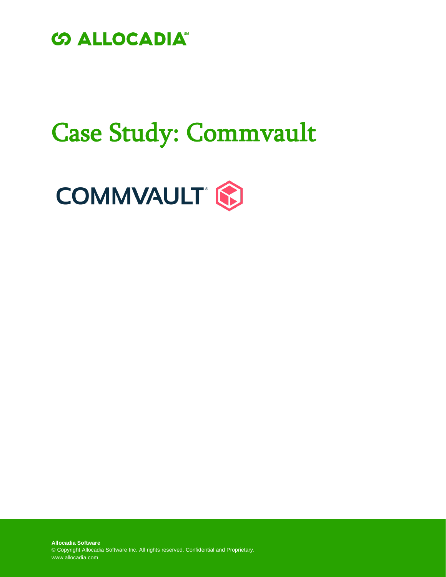

# Case Study: Commvault

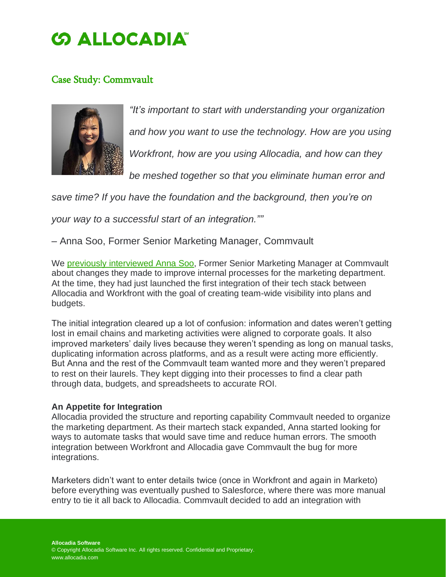### **SALLOCADIA**

### Case Study: Commvault



*"It's important to start with understanding your organization and how you want to use the technology. How are you using Workfront, how are you using Allocadia, and how can they*

*be meshed together so that you eliminate human error and*

*save time? If you have the foundation and the background, then you're on*

*your way to a successful start of an integration.""*

– Anna Soo, Former Senior Marketing Manager, Commvault

We previously [interviewed](http://www.allocadia.com/resources/customer-interviews/a-day-in-the-life-of-a-world-class-marketing-ops-pro-an-interview-with-commvaults-anna-soo/) Anna Soo, Former Senior Marketing Manager at Commvault about changes they made to improve internal processes for the marketing department. At the time, they had just launched the first integration of their tech stack between Allocadia and Workfront with the goal of creating team-wide visibility into plans and budgets.

The initial integration cleared up a lot of confusion: information and dates weren't getting lost in email chains and marketing activities were aligned to corporate goals. It also improved marketers' daily lives because they weren't spending as long on manual tasks, duplicating information across platforms, and as a result were acting more efficiently. But Anna and the rest of the Commvault team wanted more and they weren't prepared to rest on their laurels. They kept digging into their processes to find a clear path through data, budgets, and spreadsheets to accurate ROI.

### **An Appetite for Integration**

Allocadia provided the structure and reporting capability Commvault needed to organize the marketing department. As their martech stack expanded, Anna started looking for ways to automate tasks that would save time and reduce human errors. The smooth integration between Workfront and Allocadia gave Commvault the bug for more integrations.

Marketers didn't want to enter details twice (once in Workfront and again in Marketo) before everything was eventually pushed to Salesforce, where there was more manual entry to tie it all back to Allocadia. Commvault decided to add an integration with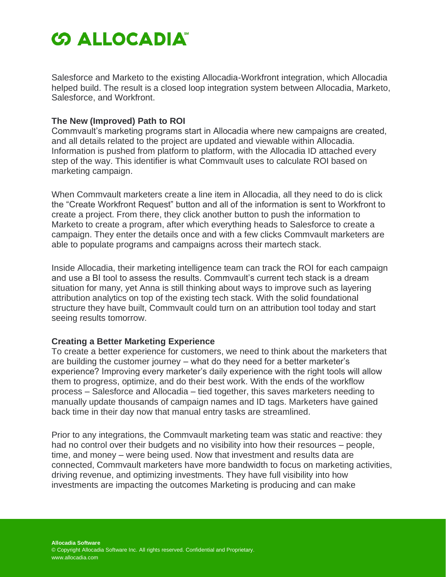## **SALLOCADIA**

Salesforce and Marketo to the existing Allocadia-Workfront integration, which Allocadia helped build. The result is a closed loop integration system between Allocadia, Marketo, Salesforce, and Workfront.

#### **The New (Improved) Path to ROI**

Commvault's marketing programs start in Allocadia where new campaigns are created, and all details related to the project are updated and viewable within Allocadia. Information is pushed from platform to platform, with the Allocadia ID attached every step of the way. This identifier is what Commvault uses to calculate ROI based on marketing campaign.

When Commvault marketers create a line item in Allocadia, all they need to do is click the "Create Workfront Request" button and all of the information is sent to Workfront to create a project. From there, they click another button to push the information to Marketo to create a program, after which everything heads to Salesforce to create a campaign. They enter the details once and with a few clicks Commvault marketers are able to populate programs and campaigns across their martech stack.

Inside Allocadia, their marketing intelligence team can track the ROI for each campaign and use a BI tool to assess the results. Commvault's current tech stack is a dream situation for many, yet Anna is still thinking about ways to improve such as layering attribution analytics on top of the existing tech stack. With the solid foundational structure they have built, Commvault could turn on an attribution tool today and start seeing results tomorrow.

### **Creating a Better Marketing Experience**

To create a better experience for customers, we need to think about the marketers that are building the customer journey – what do they need for a better marketer's experience? Improving every marketer's daily experience with the right tools will allow them to progress, optimize, and do their best work. With the ends of the workflow process – Salesforce and Allocadia – tied together, this saves marketers needing to manually update thousands of campaign names and ID tags. Marketers have gained back time in their day now that manual entry tasks are streamlined.

Prior to any integrations, the Commvault marketing team was static and reactive: they had no control over their budgets and no visibility into how their resources – people, time, and money – were being used. Now that investment and results data are connected, Commvault marketers have more bandwidth to focus on marketing activities, driving revenue, and optimizing investments. They have full visibility into how investments are impacting the outcomes Marketing is producing and can make